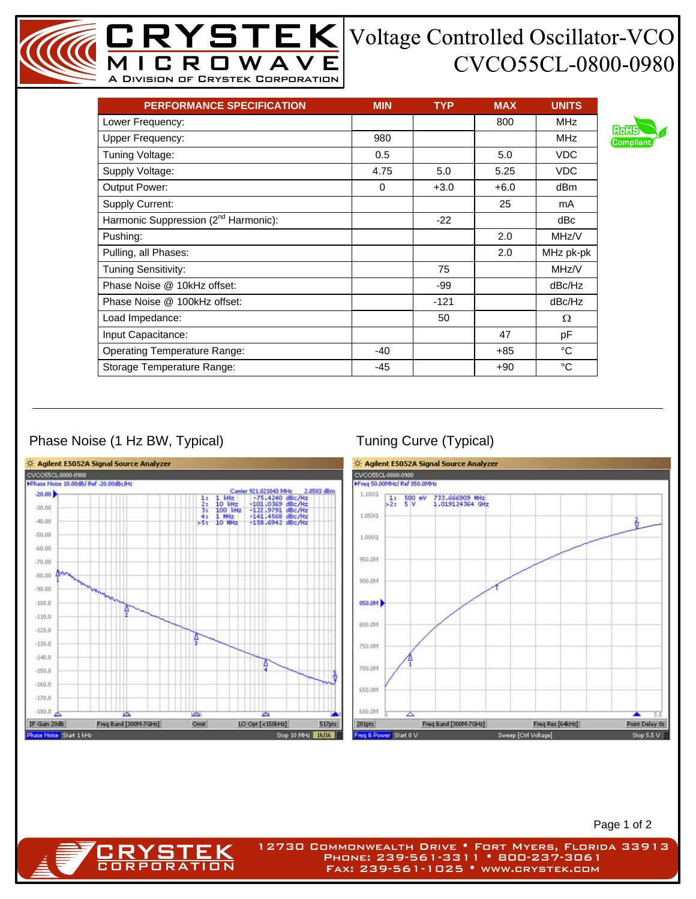## CVCO55CL-0800-0980

| <b>PERFORMANCE SPECIFICATION</b>                 | <b>MIN</b> | <b>TYP</b> | <b>MAX</b> | <b>UNITS</b> |
|--------------------------------------------------|------------|------------|------------|--------------|
| Lower Frequency:                                 |            |            | 800        | <b>MHz</b>   |
| <b>Upper Frequency:</b>                          | 980        |            |            | <b>MHz</b>   |
| Tuning Voltage:                                  | 0.5        |            | 5.0        | <b>VDC</b>   |
| Supply Voltage:                                  | 4.75       | 5.0        | 5.25       | <b>VDC</b>   |
| Output Power:                                    | $\Omega$   | $+3.0$     | $+6.0$     | dBm          |
| <b>Supply Current:</b>                           |            |            | 25         | mA           |
| Harmonic Suppression (2 <sup>nd</sup> Harmonic): |            | $-22$      |            | dBc          |
| Pushing:                                         |            |            | 2.0        | MHz/V        |
| Pulling, all Phases:                             |            |            | 2.0        | MHz pk-pk    |
| <b>Tuning Sensitivity:</b>                       |            | 75         |            | MHz/V        |
| Phase Noise @ 10kHz offset:                      |            | -99        |            | dBc/Hz       |
| Phase Noise @ 100kHz offset:                     |            | $-121$     |            | dBc/Hz       |
| Load Impedance:                                  |            | 50         |            | Ω            |
| Input Capacitance:                               |            |            | 47         | рF           |
| <b>Operating Temperature Range:</b>              | $-40$      |            | +85        | °C           |
| Storage Temperature Range:                       | -45        |            | $+90$      | °C           |

MICROWAVE A Division of Crystek Corporation

## Phase Noise (1 Hz BW, Typical) Tuning Curve (Typical)

**CRYSTEK** 



Page 1 of 2

12730 Commonwealth Drive • Fort Myers, Florida 33913 Phone: 239-561-3311 • 800-237-3061 Fax: 239-561-1025 • www.crystek.com